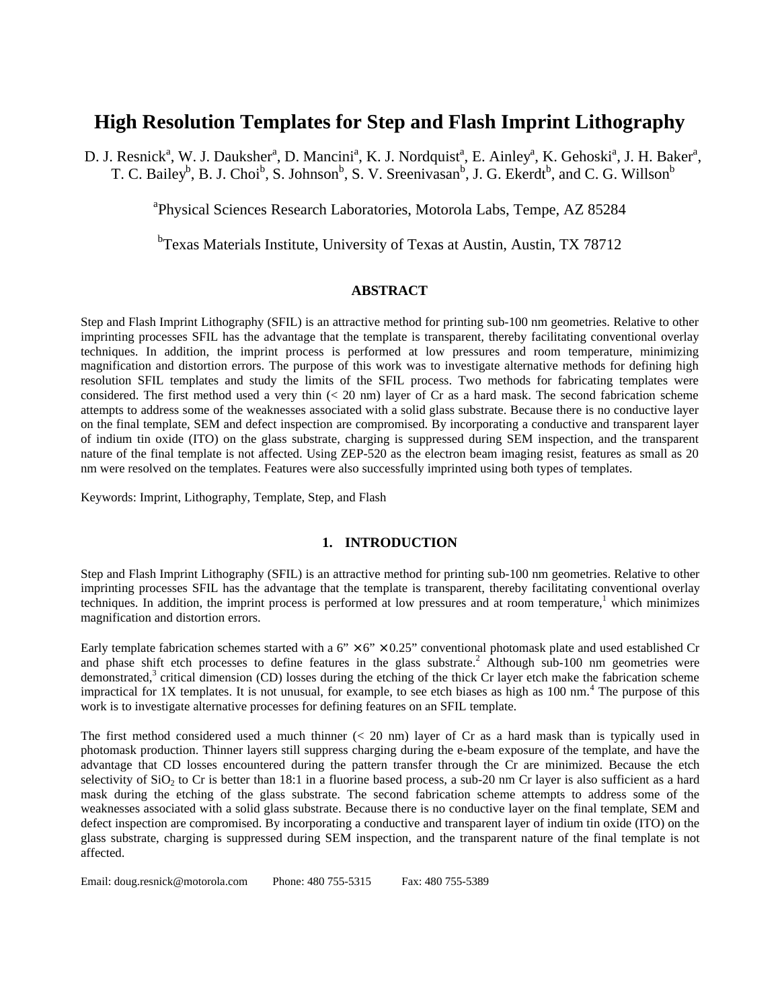# **High Resolution Templates for Step and Flash Imprint Lithography**

D. J. Resnick<sup>a</sup>, W. J. Dauksher<sup>a</sup>, D. Mancini<sup>a</sup>, K. J. Nordquist<sup>a</sup>, E. Ainley<sup>a</sup>, K. Gehoski<sup>a</sup>, J. H. Baker<sup>a</sup>, T. C. Bailey<sup>b</sup>, B. J. Choi<sup>b</sup>, S. Johnson<sup>b</sup>, S. V. Sreenivasan<sup>b</sup>, J. G. Ekerdt<sup>b</sup>, and C. G. Willson<sup>b</sup>

<sup>a</sup>Physical Sciences Research Laboratories, Motorola Labs, Tempe, AZ 85284

<sup>b</sup>Texas Materials Institute, University of Texas at Austin, Austin, TX 78712

## **ABSTRACT**

Step and Flash Imprint Lithography (SFIL) is an attractive method for printing sub-100 nm geometries. Relative to other imprinting processes SFIL has the advantage that the template is transparent, thereby facilitating conventional overlay techniques. In addition, the imprint process is performed at low pressures and room temperature, minimizing magnification and distortion errors. The purpose of this work was to investigate alternative methods for defining high resolution SFIL templates and study the limits of the SFIL process. Two methods for fabricating templates were considered. The first method used a very thin (< 20 nm) layer of Cr as a hard mask. The second fabrication scheme attempts to address some of the weaknesses associated with a solid glass substrate. Because there is no conductive layer on the final template, SEM and defect inspection are compromised. By incorporating a conductive and transparent layer of indium tin oxide (ITO) on the glass substrate, charging is suppressed during SEM inspection, and the transparent nature of the final template is not affected. Using ZEP-520 as the electron beam imaging resist, features as small as 20 nm were resolved on the templates. Features were also successfully imprinted using both types of templates.

Keywords: Imprint, Lithography, Template, Step, and Flash

## **1. INTRODUCTION**

Step and Flash Imprint Lithography (SFIL) is an attractive method for printing sub-100 nm geometries. Relative to other imprinting processes SFIL has the advantage that the template is transparent, thereby facilitating conventional overlay techniques. In addition, the imprint process is performed at low pressures and at room temperature,<sup>1</sup> which minimizes magnification and distortion errors.

Early template fabrication schemes started with a  $6'' \times 6'' \times 0.25''$  conventional photomask plate and used established Cr and phase shift etch processes to define features in the glass substrate.<sup>2</sup> Although sub-100 nm geometries were demonstrated,<sup>3</sup> critical dimension (CD) losses during the etching of the thick Cr layer etch make the fabrication scheme impractical for 1X templates. It is not unusual, for example, to see etch biases as high as 100 nm.<sup>4</sup> The purpose of this work is to investigate alternative processes for defining features on an SFIL template.

The first method considered used a much thinner (< 20 nm) layer of Cr as a hard mask than is typically used in photomask production. Thinner layers still suppress charging during the e-beam exposure of the template, and have the advantage that CD losses encountered during the pattern transfer through the Cr are minimized. Because the etch selectivity of  $SiO<sub>2</sub>$  to Cr is better than 18:1 in a fluorine based process, a sub-20 nm Cr layer is also sufficient as a hard mask during the etching of the glass substrate. The second fabrication scheme attempts to address some of the weaknesses associated with a solid glass substrate. Because there is no conductive layer on the final template, SEM and defect inspection are compromised. By incorporating a conductive and transparent layer of indium tin oxide (ITO) on the glass substrate, charging is suppressed during SEM inspection, and the transparent nature of the final template is not affected.

Email: doug.resnick@motorola.com Phone: 480 755-5315 Fax: 480 755-5389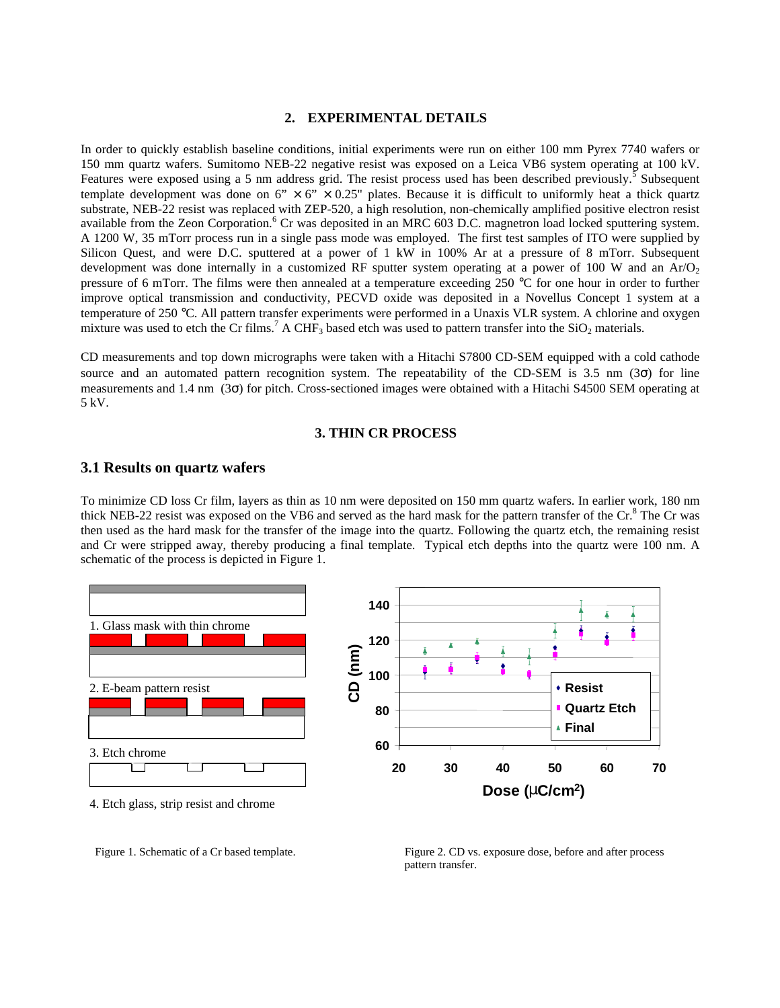# **2. EXPERIMENTAL DETAILS**

In order to quickly establish baseline conditions, initial experiments were run on either 100 mm Pyrex 7740 wafers or 150 mm quartz wafers. Sumitomo NEB-22 negative resist was exposed on a Leica VB6 system operating at 100 kV. Features were exposed using a 5 nm address grid. The resist process used has been described previously.<sup>5</sup> Subsequent template development was done on  $6" \times 6" \times 0.25"$  plates. Because it is difficult to uniformly heat a thick quartz substrate, NEB-22 resist was replaced with ZEP-520, a high resolution, non-chemically amplified positive electron resist available from the Zeon Corporation.<sup>6</sup> Cr was deposited in an MRC 603 D.C. magnetron load locked sputtering system. A 1200 W, 35 mTorr process run in a single pass mode was employed. The first test samples of ITO were supplied by Silicon Quest, and were D.C. sputtered at a power of 1 kW in 100% Ar at a pressure of 8 mTorr. Subsequent development was done internally in a customized RF sputter system operating at a power of 100 W and an  $Ar/O<sub>2</sub>$ pressure of 6 mTorr. The films were then annealed at a temperature exceeding 250 °C for one hour in order to further improve optical transmission and conductivity, PECVD oxide was deposited in a Novellus Concept 1 system at a temperature of 250 °C. All pattern transfer experiments were performed in a Unaxis VLR system. A chlorine and oxygen mixture was used to etch the Cr films.<sup>7</sup> A CHF<sub>3</sub> based etch was used to pattern transfer into the SiO<sub>2</sub> materials.

CD measurements and top down micrographs were taken with a Hitachi S7800 CD-SEM equipped with a cold cathode source and an automated pattern recognition system. The repeatability of the CD-SEM is 3.5 nm ( $3\sigma$ ) for line measurements and 1.4 nm (3σ) for pitch. Cross-sectioned images were obtained with a Hitachi S4500 SEM operating at 5 kV.

## **3. THIN CR PROCESS**

# **3.1 Results on quartz wafers**

To minimize CD loss Cr film, layers as thin as 10 nm were deposited on 150 mm quartz wafers. In earlier work, 180 nm thick NEB-22 resist was exposed on the VB6 and served as the hard mask for the pattern transfer of the Cr.<sup>8</sup> The Cr was then used as the hard mask for the transfer of the image into the quartz. Following the quartz etch, the remaining resist and Cr were stripped away, thereby producing a final template. Typical etch depths into the quartz were 100 nm. A schematic of the process is depicted in Figure 1.



4. Etch glass, strip resist and chrome



Figure 1. Schematic of a Cr based template. Figure 2. CD vs. exposure dose, before and after process pattern transfer.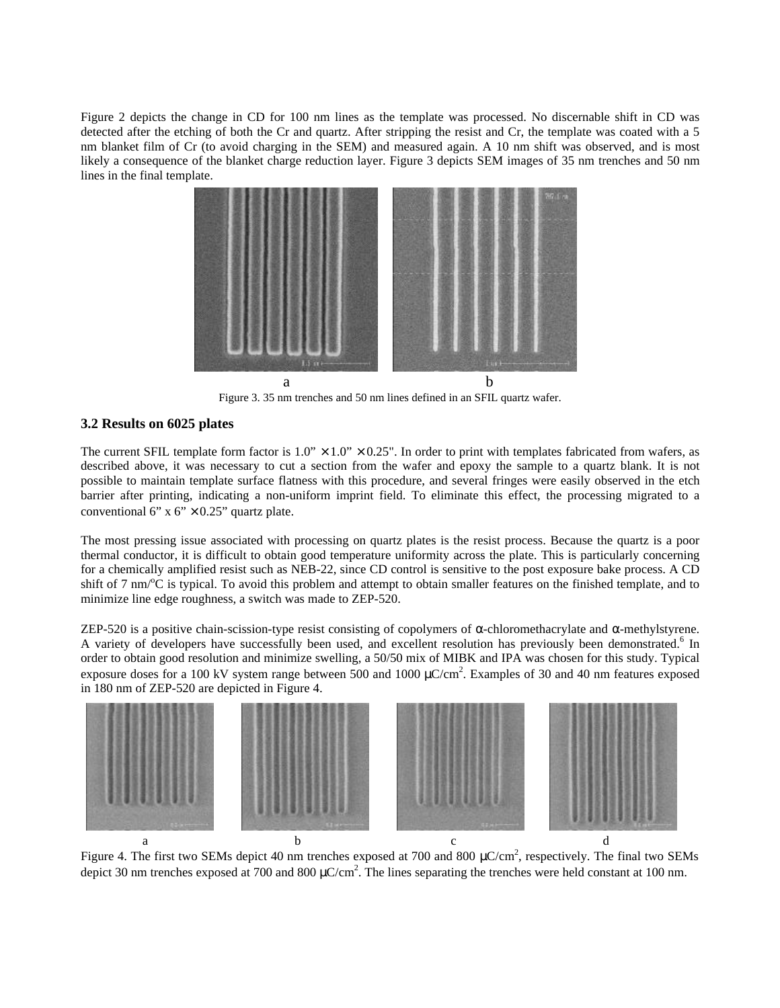Figure 2 depicts the change in CD for 100 nm lines as the template was processed. No discernable shift in CD was detected after the etching of both the Cr and quartz. After stripping the resist and Cr, the template was coated with a 5 nm blanket film of Cr (to avoid charging in the SEM) and measured again. A 10 nm shift was observed, and is most likely a consequence of the blanket charge reduction layer. Figure 3 depicts SEM images of 35 nm trenches and 50 nm lines in the final template.



Figure 3. 35 nm trenches and 50 nm lines defined in an SFIL quartz wafer.

# **3.2 Results on 6025 plates**

The current SFIL template form factor is  $1.0'' \times 1.0'' \times 0.25''$ . In order to print with templates fabricated from wafers, as described above, it was necessary to cut a section from the wafer and epoxy the sample to a quartz blank. It is not possible to maintain template surface flatness with this procedure, and several fringes were easily observed in the etch barrier after printing, indicating a non-uniform imprint field. To eliminate this effect, the processing migrated to a conventional 6" x 6"  $\times$  0.25" quartz plate.

The most pressing issue associated with processing on quartz plates is the resist process. Because the quartz is a poor thermal conductor, it is difficult to obtain good temperature uniformity across the plate. This is particularly concerning for a chemically amplified resist such as NEB-22, since CD control is sensitive to the post exposure bake process. A CD shift of 7 nm/ $^{\circ}$ C is typical. To avoid this problem and attempt to obtain smaller features on the finished template, and to minimize line edge roughness, a switch was made to ZEP-520.

ZEP-520 is a positive chain-scission-type resist consisting of copolymers of α-chloromethacrylate and α-methylstyrene. A variety of developers have successfully been used, and excellent resolution has previously been demonstrated.<sup>6</sup> In order to obtain good resolution and minimize swelling, a 50/50 mix of MIBK and IPA was chosen for this study. Typical exposure doses for a 100 kV system range between 500 and 1000  $\mu$ C/cm<sup>2</sup>. Examples of 30 and 40 nm features exposed in 180 nm of ZEP-520 are depicted in Figure 4.



Figure 4. The first two SEMs depict 40 nm trenches exposed at 700 and 800  $\mu$ C/cm<sup>2</sup>, respectively. The final two SEMs depict 30 nm trenches exposed at 700 and 800  $\mu$ C/cm<sup>2</sup>. The lines separating the trenches were held constant at 100 nm.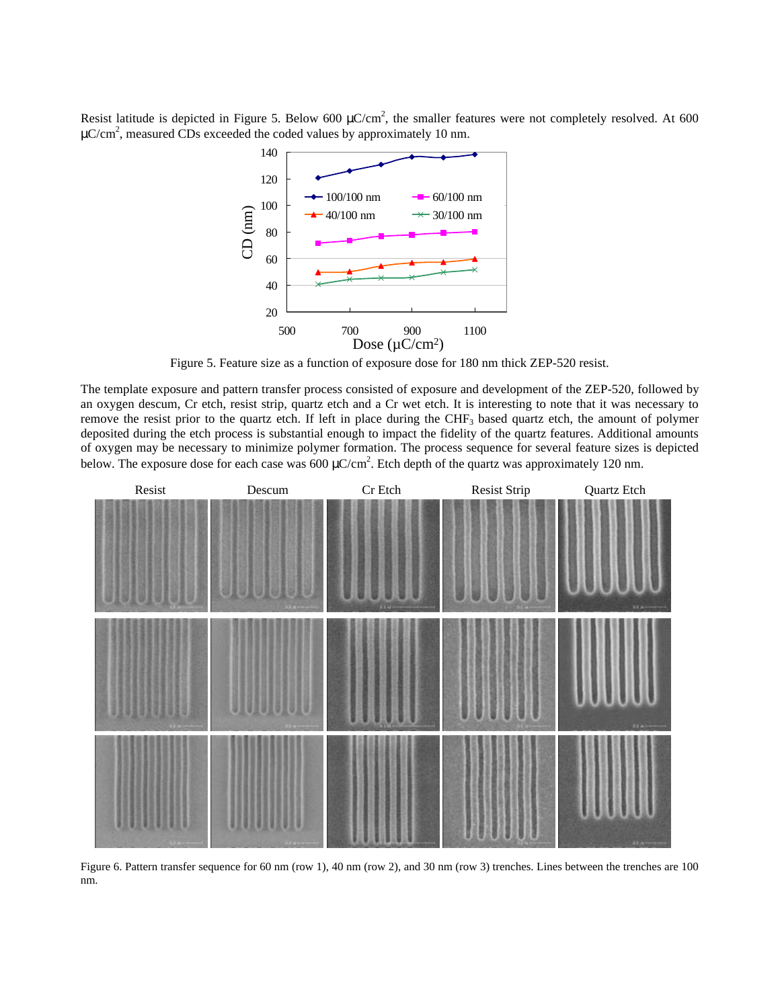Resist latitude is depicted in Figure 5. Below 600  $\mu$ C/cm<sup>2</sup>, the smaller features were not completely resolved. At 600  $\mu$ C/cm<sup>2</sup>, measured CDs exceeded the coded values by approximately 10 nm.



Figure 5. Feature size as a function of exposure dose for 180 nm thick ZEP-520 resist.

The template exposure and pattern transfer process consisted of exposure and development of the ZEP-520, followed by an oxygen descum, Cr etch, resist strip, quartz etch and a Cr wet etch. It is interesting to note that it was necessary to remove the resist prior to the quartz etch. If left in place during the CHF3 based quartz etch, the amount of polymer deposited during the etch process is substantial enough to impact the fidelity of the quartz features. Additional amounts of oxygen may be necessary to minimize polymer formation. The process sequence for several feature sizes is depicted below. The exposure dose for each case was  $600 \mu C/cm^2$ . Etch depth of the quartz was approximately 120 nm.



Figure 6. Pattern transfer sequence for 60 nm (row 1), 40 nm (row 2), and 30 nm (row 3) trenches. Lines between the trenches are 100 nm.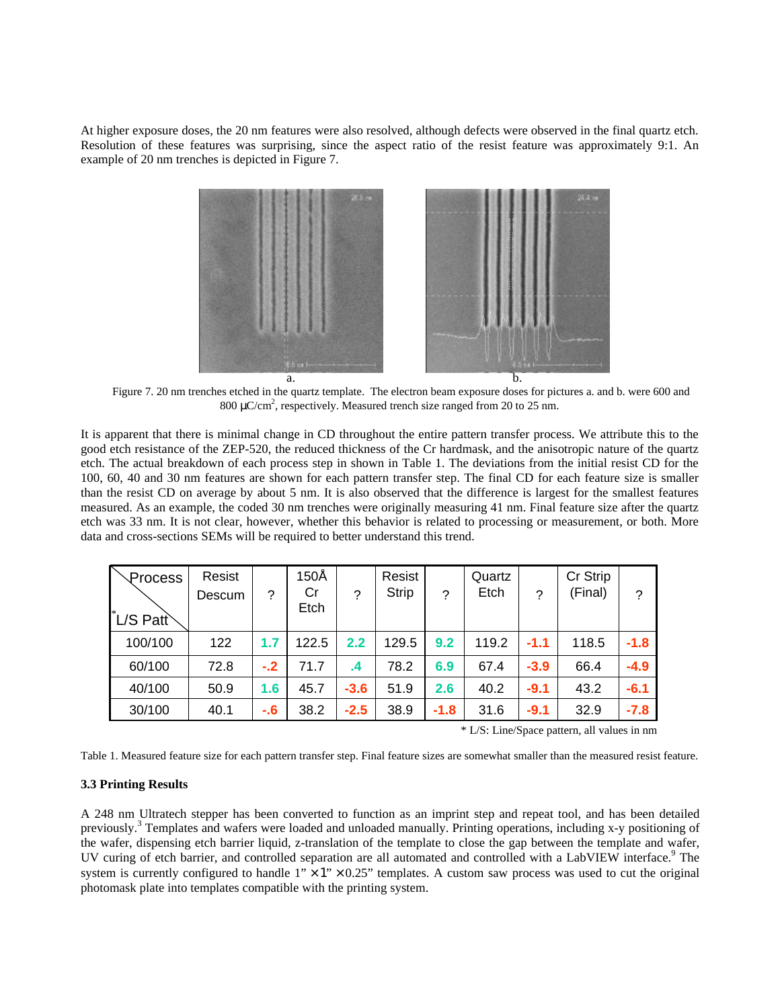At higher exposure doses, the 20 nm features were also resolved, although defects were observed in the final quartz etch. Resolution of these features was surprising, since the aspect ratio of the resist feature was approximately 9:1. An example of 20 nm trenches is depicted in Figure 7.



 Figure 7. 20 nm trenches etched in the quartz template. The electron beam exposure doses for pictures a. and b. were 600 and 800 μC/cm<sup>2</sup>, respectively. Measured trench size ranged from 20 to 25 nm.

It is apparent that there is minimal change in CD throughout the entire pattern transfer process. We attribute this to the good etch resistance of the ZEP-520, the reduced thickness of the Cr hardmask, and the anisotropic nature of the quartz etch. The actual breakdown of each process step in shown in Table 1. The deviations from the initial resist CD for the 100, 60, 40 and 30 nm features are shown for each pattern transfer step. The final CD for each feature size is smaller than the resist CD on average by about 5 nm. It is also observed that the difference is largest for the smallest features measured. As an example, the coded 30 nm trenches were originally measuring 41 nm. Final feature size after the quartz etch was 33 nm. It is not clear, however, whether this behavior is related to processing or measurement, or both. More data and cross-sections SEMs will be required to better understand this trend.

| Process<br>L/S Patt | Resist<br>Descum | ?     | 150Å<br>Cr<br>Etch | ?      | Resist<br><b>Strip</b> | 2      | Quartz<br>Etch | ?      | Cr Strip<br>(Final) | ?      |
|---------------------|------------------|-------|--------------------|--------|------------------------|--------|----------------|--------|---------------------|--------|
| 100/100             | 122              | 1.7   | 122.5              | 2.2    | 129.5                  | 9.2    | 119.2          | $-1.1$ | 118.5               | $-1.8$ |
| 60/100              | 72.8             | $-.2$ | 71.7               | .4     | 78.2                   | 6.9    | 67.4           | $-3.9$ | 66.4                | $-4.9$ |
| 40/100              | 50.9             | 1.6   | 45.7               | $-3.6$ | 51.9                   | 2.6    | 40.2           | $-9.1$ | 43.2                | $-6.1$ |
| 30/100              | 40.1             | $-6$  | 38.2               | $-2.5$ | 38.9                   | $-1.8$ | 31.6           | $-9.1$ | 32.9                | $-7.8$ |

\* L/S: Line/Space pattern, all values in nm

Table 1. Measured feature size for each pattern transfer step. Final feature sizes are somewhat smaller than the measured resist feature.

## **3.3 Printing Results**

A 248 nm Ultratech stepper has been converted to function as an imprint step and repeat tool, and has been detailed previously.<sup>3</sup> Templates and wafers were loaded and unloaded manually. Printing operations, including x-y positioning of the wafer, dispensing etch barrier liquid, z-translation of the template to close the gap between the template and wafer, UV curing of etch barrier, and controlled separation are all automated and controlled with a LabVIEW interface.<sup>9</sup> The system is currently configured to handle  $1'' \times 1'' \times 0.25''$  templates. A custom saw process was used to cut the original photomask plate into templates compatible with the printing system.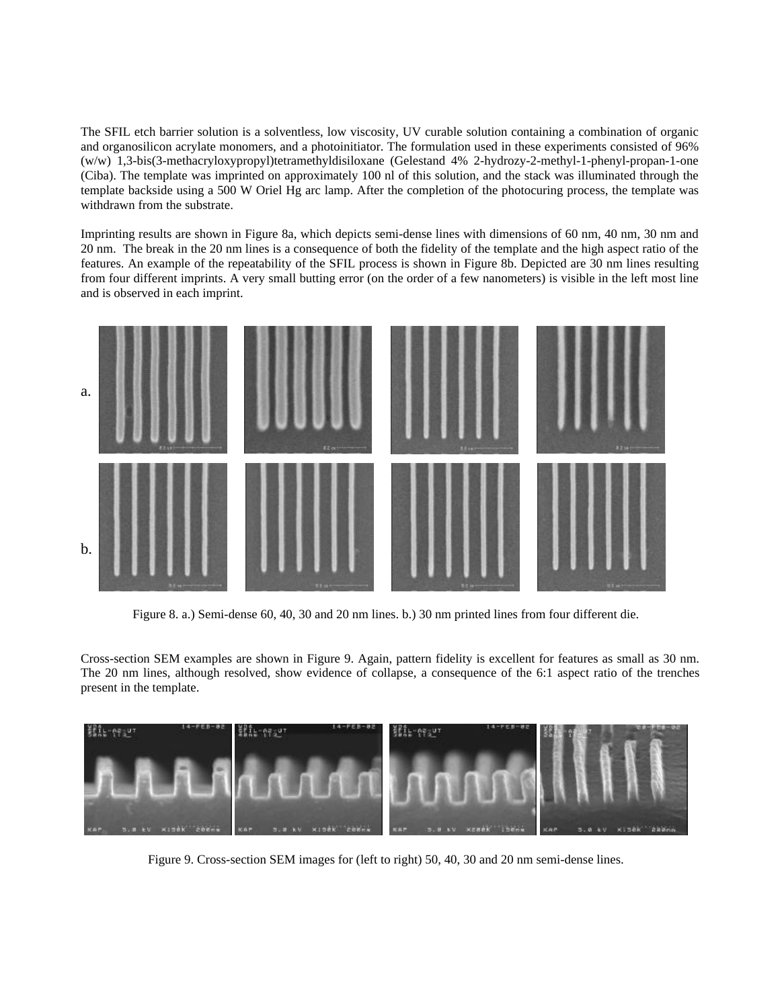The SFIL etch barrier solution is a solventless, low viscosity, UV curable solution containing a combination of organic and organosilicon acrylate monomers, and a photoinitiator. The formulation used in these experiments consisted of 96% (w/w) 1,3-bis(3-methacryloxypropyl)tetramethyldisiloxane (Gelestand 4% 2-hydrozy-2-methyl-1-phenyl-propan-1-one (Ciba). The template was imprinted on approximately 100 nl of this solution, and the stack was illuminated through the template backside using a 500 W Oriel Hg arc lamp. After the completion of the photocuring process, the template was withdrawn from the substrate.

Imprinting results are shown in Figure 8a, which depicts semi-dense lines with dimensions of 60 nm, 40 nm, 30 nm and 20 nm. The break in the 20 nm lines is a consequence of both the fidelity of the template and the high aspect ratio of the features. An example of the repeatability of the SFIL process is shown in Figure 8b. Depicted are 30 nm lines resulting from four different imprints. A very small butting error (on the order of a few nanometers) is visible in the left most line and is observed in each imprint.



Figure 8. a.) Semi-dense 60, 40, 30 and 20 nm lines. b.) 30 nm printed lines from four different die.

Cross-section SEM examples are shown in Figure 9. Again, pattern fidelity is excellent for features as small as 30 nm. The 20 nm lines, although resolved, show evidence of collapse, a consequence of the 6:1 aspect ratio of the trenches present in the template.



Figure 9. Cross-section SEM images for (left to right) 50, 40, 30 and 20 nm semi-dense lines.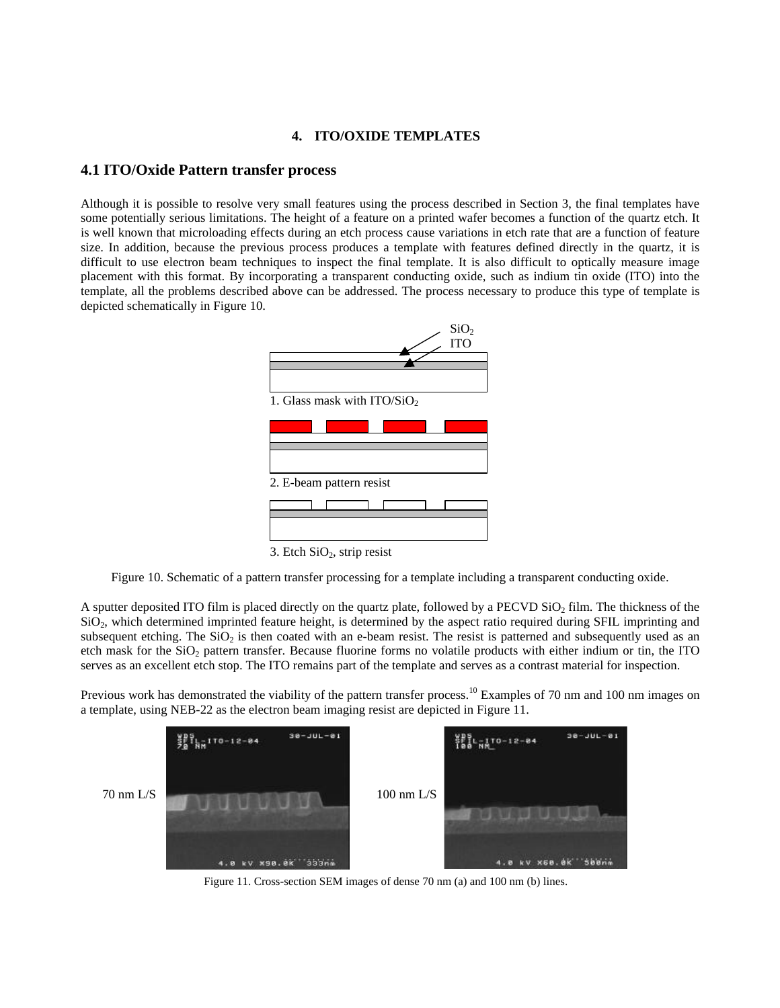# **4. ITO/OXIDE TEMPLATES**

# **4.1 ITO/Oxide Pattern transfer process**

Although it is possible to resolve very small features using the process described in Section 3, the final templates have some potentially serious limitations. The height of a feature on a printed wafer becomes a function of the quartz etch. It is well known that microloading effects during an etch process cause variations in etch rate that are a function of feature size. In addition, because the previous process produces a template with features defined directly in the quartz, it is difficult to use electron beam techniques to inspect the final template. It is also difficult to optically measure image placement with this format. By incorporating a transparent conducting oxide, such as indium tin oxide (ITO) into the template, all the problems described above can be addressed. The process necessary to produce this type of template is depicted schematically in Figure 10.



3. Etch  $SiO<sub>2</sub>$ , strip resist

Figure 10. Schematic of a pattern transfer processing for a template including a transparent conducting oxide.

A sputter deposited ITO film is placed directly on the quartz plate, followed by a PECVD  $SiO<sub>2</sub>$  film. The thickness of the SiO<sub>2</sub>, which determined imprinted feature height, is determined by the aspect ratio required during SFIL imprinting and subsequent etching. The  $SiO<sub>2</sub>$  is then coated with an e-beam resist. The resist is patterned and subsequently used as an etch mask for the  $SiO<sub>2</sub>$  pattern transfer. Because fluorine forms no volatile products with either indium or tin, the ITO serves as an excellent etch stop. The ITO remains part of the template and serves as a contrast material for inspection.

Previous work has demonstrated the viability of the pattern transfer process.<sup>10</sup> Examples of 70 nm and 100 nm images on a template, using NEB-22 as the electron beam imaging resist are depicted in Figure 11.



Figure 11. Cross-section SEM images of dense 70 nm (a) and 100 nm (b) lines.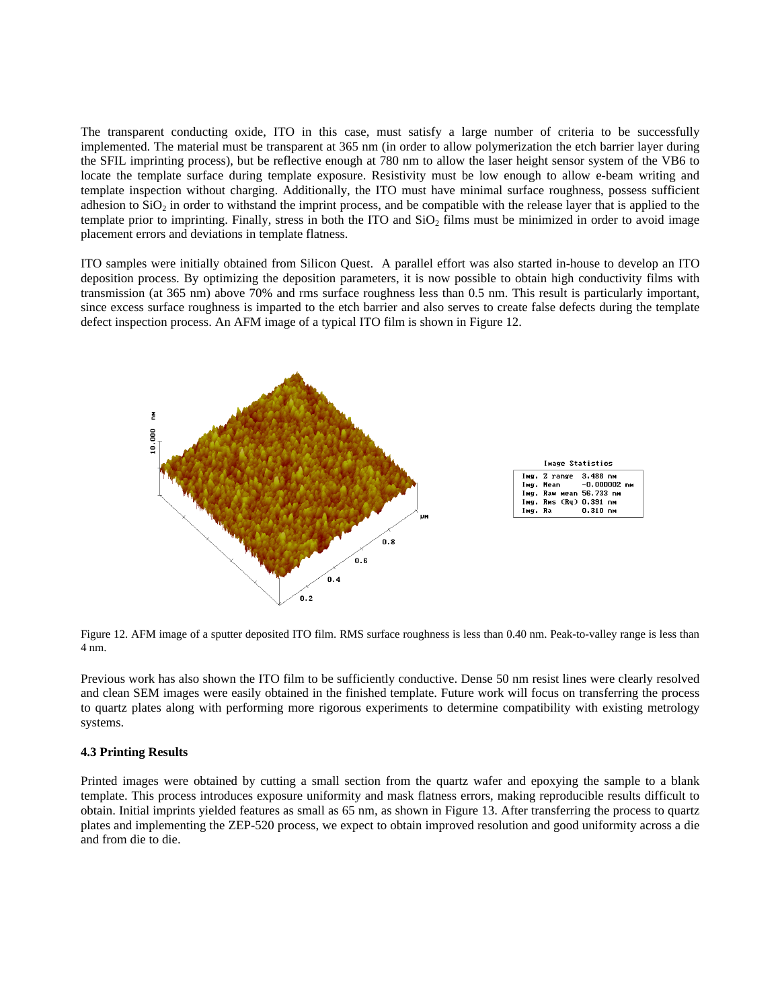The transparent conducting oxide, ITO in this case, must satisfy a large number of criteria to be successfully implemented. The material must be transparent at 365 nm (in order to allow polymerization the etch barrier layer during the SFIL imprinting process), but be reflective enough at 780 nm to allow the laser height sensor system of the VB6 to locate the template surface during template exposure. Resistivity must be low enough to allow e-beam writing and template inspection without charging. Additionally, the ITO must have minimal surface roughness, possess sufficient adhesion to  $SiO<sub>2</sub>$  in order to withstand the imprint process, and be compatible with the release layer that is applied to the template prior to imprinting. Finally, stress in both the ITO and  $SiO<sub>2</sub>$  films must be minimized in order to avoid image placement errors and deviations in template flatness.

ITO samples were initially obtained from Silicon Quest. A parallel effort was also started in-house to develop an ITO deposition process. By optimizing the deposition parameters, it is now possible to obtain high conductivity films with transmission (at 365 nm) above 70% and rms surface roughness less than 0.5 nm. This result is particularly important, since excess surface roughness is imparted to the etch barrier and also serves to create false defects during the template defect inspection process. An AFM image of a typical ITO film is shown in Figure 12.



Figure 12. AFM image of a sputter deposited ITO film. RMS surface roughness is less than 0.40 nm. Peak-to-valley range is less than 4 nm.

Previous work has also shown the ITO film to be sufficiently conductive. Dense 50 nm resist lines were clearly resolved and clean SEM images were easily obtained in the finished template. Future work will focus on transferring the process to quartz plates along with performing more rigorous experiments to determine compatibility with existing metrology systems.

### **4.3 Printing Results**

Printed images were obtained by cutting a small section from the quartz wafer and epoxying the sample to a blank template. This process introduces exposure uniformity and mask flatness errors, making reproducible results difficult to obtain. Initial imprints yielded features as small as 65 nm, as shown in Figure 13. After transferring the process to quartz plates and implementing the ZEP-520 process, we expect to obtain improved resolution and good uniformity across a die and from die to die.